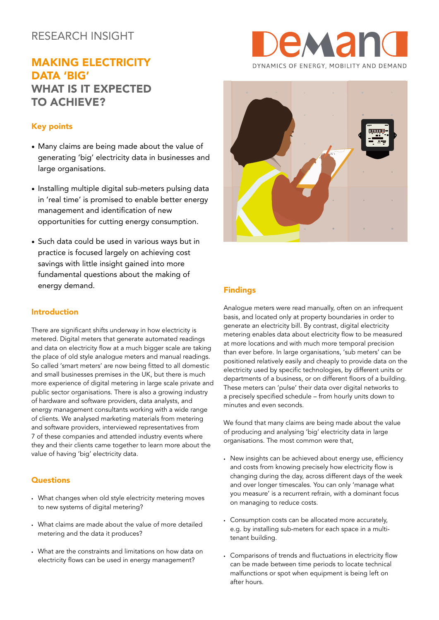## RESEARCH INSIGHT

# MAKING ELECTRICITY DATA 'BIG' WHAT IS IT EXPECTED TO ACHIEVE?

## Key points

- Many claims are being made about the value of generating 'big' electricity data in businesses and large organisations.
- Installing multiple digital sub-meters pulsing data in 'real time' is promised to enable better energy management and identification of new opportunities for cutting energy consumption.
- Such data could be used in various ways but in practice is focused largely on achieving cost savings with little insight gained into more fundamental questions about the making of energy demand.

## Introduction

There are significant shifts underway in how electricity is metered. Digital meters that generate automated readings and data on electricity flow at a much bigger scale are taking the place of old style analogue meters and manual readings. So called 'smart meters' are now being fitted to all domestic and small businesses premises in the UK, but there is much more experience of digital metering in large scale private and public sector organisations. There is also a growing industry of hardware and software providers, data analysts, and energy management consultants working with a wide range of clients. We analysed marketing materials from metering and software providers, interviewed representatives from 7 of these companies and attended industry events where they and their clients came together to learn more about the value of having 'big' electricity data.

### **Questions**

- What changes when old style electricity metering moves to new systems of digital metering?
- What claims are made about the value of more detailed metering and the data it produces?
- What are the constraints and limitations on how data on electricity flows can be used in energy management?





## Findings

Analogue meters were read manually, often on an infrequent basis, and located only at property boundaries in order to generate an electricity bill. By contrast, digital electricity metering enables data about electricity flow to be measured at more locations and with much more temporal precision than ever before. In large organisations, 'sub meters' can be positioned relatively easily and cheaply to provide data on the electricity used by specific technologies, by different units or departments of a business, or on different floors of a building. These meters can 'pulse' their data over digital networks to a precisely specified schedule – from hourly units down to minutes and even seconds.

We found that many claims are being made about the value of producing and analysing 'big' electricity data in large organisations. The most common were that,

- New insights can be achieved about energy use, efficiency and costs from knowing precisely how electricity flow is changing during the day, across different days of the week and over longer timescales. You can only 'manage what you measure' is a recurrent refrain, with a dominant focus on managing to reduce costs.
- Consumption costs can be allocated more accurately, e.g. by installing sub-meters for each space in a multitenant building.
- Comparisons of trends and fluctuations in electricity flow can be made between time periods to locate technical malfunctions or spot when equipment is being left on after hours.